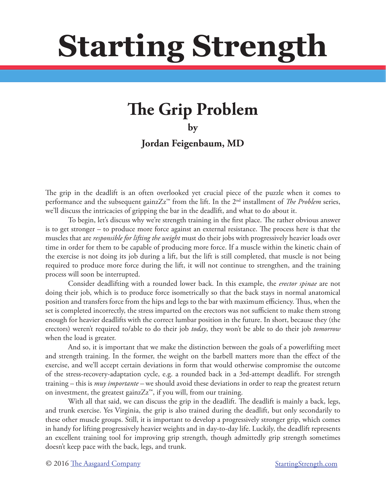# **Starting Strength**

# **The Grip Problem**

**by** 

**Jordan Feigenbaum, MD**

The grip in the deadlift is an often overlooked yet crucial piece of the puzzle when it comes to performance and the subsequent gainzZz<sup>™</sup> from the lift. In the 2<sup>nd</sup> installment of *The Problem* series, we'll discuss the intricacies of gripping the bar in the deadlift, and what to do about it.

To begin, let's discuss why we're strength training in the first place. The rather obvious answer is to get stronger – to produce more force against an external resistance. The process here is that the muscles that are *responsible for lifting the weight* must do their jobs with progressively heavier loads over time in order for them to be capable of producing more force. If a muscle within the kinetic chain of the exercise is not doing its job during a lift, but the lift is still completed, that muscle is not being required to produce more force during the lift, it will not continue to strengthen, and the training process will soon be interrupted.

Consider deadlifting with a rounded lower back. In this example, the *erector spinae* are not doing their job, which is to produce force isometrically so that the back stays in normal anatomical position and transfers force from the hips and legs to the bar with maximum efficiency. Thus, when the set is completed incorrectly, the stress imparted on the erectors was not sufficient to make them strong enough for heavier deadlifts with the correct lumbar position in the future. In short, because they (the erectors) weren't required to/able to do their job *today*, they won't be able to do their job *tomorrow* when the load is greater.

And so, it is important that we make the distinction between the goals of a powerlifting meet and strength training. In the former, the weight on the barbell matters more than the effect of the exercise, and we'll accept certain deviations in form that would otherwise compromise the outcome of the stress-recovery-adaptation cycle, e.g. a rounded back in a 3rd-attempt deadlift. For strength training – this is *muy importante –* we should avoid these deviations in order to reap the greatest return on investment, the greatest gainz $Zz^{\mathsf{m}}$ , if you will, from our training.

With all that said, we can discuss the grip in the deadlift. The deadlift is mainly a back, legs, and trunk exercise. Yes Virginia, the grip is also trained during the deadlift, but only secondarily to these other muscle groups. Still, it is important to develop a progressively stronger grip, which comes in handy for lifting progressively heavier weights and in day-to-day life. Luckily, the deadlift represents an excellent training tool for improving grip strength, though admittedly grip strength sometimes doesn't keep pace with the back, legs, and trunk.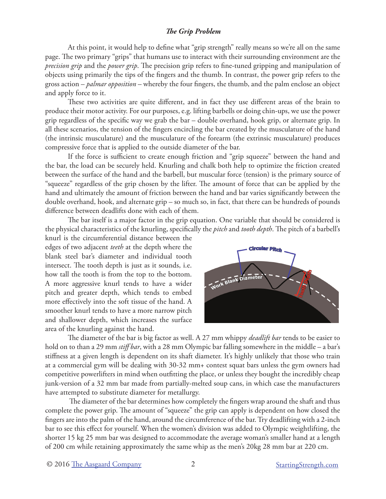At this point, it would help to define what "grip strength" really means so we're all on the same page. The two primary "grips" that humans use to interact with their surrounding environment are the *precision grip* and the *power grip*. The precision grip refers to fine-tuned gripping and manipulation of objects using primarily the tips of the fingers and the thumb. In contrast, the power grip refers to the gross action – *palmar opposition* – whereby the four fingers, the thumb, and the palm enclose an object and apply force to it.

These two activities are quite different, and in fact they use different areas of the brain to produce their motor activity. For our purposes, e.g. lifting barbells or doing chin-ups, we use the power grip regardless of the specific way we grab the bar – double overhand, hook grip, or alternate grip. In all these scenarios, the tension of the fingers encircling the bar created by the musculature of the hand (the intrinsic musculature) and the musculature of the forearm (the extrinsic musculature) produces compressive force that is applied to the outside diameter of the bar.

If the force is sufficient to create enough friction and "grip squeeze" between the hand and the bar, the load can be securely held. Knurling and chalk both help to optimize the friction created between the surface of the hand and the barbell, but muscular force (tension) is the primary source of "squeeze" regardless of the grip chosen by the lifter. The amount of force that can be applied by the hand and ultimately the amount of friction between the hand and bar varies significantly between the double overhand, hook, and alternate grip – so much so, in fact, that there can be hundreds of pounds difference between deadlifts done with each of them.

The bar itself is a major factor in the grip equation. One variable that should be considered is the physical characteristics of the knurling, specifically the *pitch* and *tooth depth*. The pitch of a barbell's

knurl is the circumferential distance between the edges of two adjacent *teeth* at the depth where the blank steel bar's diameter and individual tooth intersect. The tooth depth is just as it sounds, i.e. how tall the tooth is from the top to the bottom. A more aggressive knurl tends to have a wider pitch and greater depth, which tends to embed more effectively into the soft tissue of the hand. A smoother knurl tends to have a more narrow pitch and shallower depth, which increases the surface area of the knurling against the hand.



The diameter of the bar is big factor as well. A 27 mm whippy *deadlift bar* tends to be easier to hold on to than a 29 mm *stiff bar*, with a 28 mm Olympic bar falling somewhere in the middle – a bar's stiffness at a given length is dependent on its shaft diameter. It's highly unlikely that those who train at a commercial gym will be dealing with 30-32 mm+ contest squat bars unless the gym owners had competitive powerlifters in mind when outfitting the place, or unless they bought the incredibly cheap junk-version of a 32 mm bar made from partially-melted soup cans, in which case the manufacturers have attempted to substitute diameter for metallurgy.

 The diameter of the bar determines how completely the fingers wrap around the shaft and thus complete the power grip. The amount of "squeeze" the grip can apply is dependent on how closed the fingers are into the palm of the hand, around the circumference of the bar. Try deadlifting with a 2-inch bar to see this effect for yourself. When the women's division was added to Olympic weightlifting, the shorter 15 kg 25 mm bar was designed to accommodate the average woman's smaller hand at a length of 200 cm while retaining approximately the same whip as the men's 20kg 28 mm bar at 220 cm.

© 2016 [The Aasgaard Company](http://aasgaardco.com) 2 3 [StartingStrength.com](http://startingstrength.com)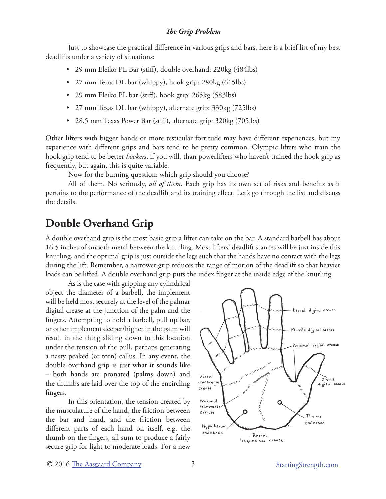Just to showcase the practical difference in various grips and bars, here is a brief list of my best deadlifts under a variety of situations:

- 29 mm Eleiko PL Bar (stiff), double overhand: 220kg (484lbs)
- 27 mm Texas DL bar (whippy), hook grip: 280kg (615lbs)
- 29 mm Eleiko PL bar (stiff), hook grip: 265kg (583lbs)
- 27 mm Texas DL bar (whippy), alternate grip: 330kg (725lbs)
- 28.5 mm Texas Power Bar (stiff), alternate grip: 320kg (705lbs)

Other lifters with bigger hands or more testicular fortitude may have different experiences, but my experience with different grips and bars tend to be pretty common. Olympic lifters who train the hook grip tend to be better *hookers*, if you will, than powerlifters who haven't trained the hook grip as frequently, but again, this is quite variable.

Now for the burning question: which grip should you choose?

All of them. No seriously, *all of them*. Each grip has its own set of risks and benefits as it pertains to the performance of the deadlift and its training effect. Let's go through the list and discuss the details.

## **Double Overhand Grip**

A double overhand grip is the most basic grip a lifter can take on the bar. A standard barbell has about 16.5 inches of smooth metal between the knurling. Most lifters' deadlift stances will be just inside this knurling, and the optimal grip is just outside the legs such that the hands have no contact with the legs during the lift. Remember, a narrower grip reduces the range of motion of the deadlift so that heavier loads can be lifted. A double overhand grip puts the index finger at the inside edge of the knurling.

As is the case with gripping any cylindrical object the diameter of a barbell, the implement will be held most securely at the level of the palmar digital crease at the junction of the palm and the fingers. Attempting to hold a barbell, pull up bar, or other implement deeper/higher in the palm will result in the thing sliding down to this location under the tension of the pull, perhaps generating a nasty peaked (or torn) callus. In any event, the double overhand grip is just what it sounds like – both hands are pronated (palms down) and the thumbs are laid over the top of the encircling fingers.

In this orientation, the tension created by the musculature of the hand, the friction between the bar and hand, and the friction between different parts of each hand on itself, e.g. the thumb on the fingers, all sum to produce a fairly secure grip for light to moderate loads. For a new

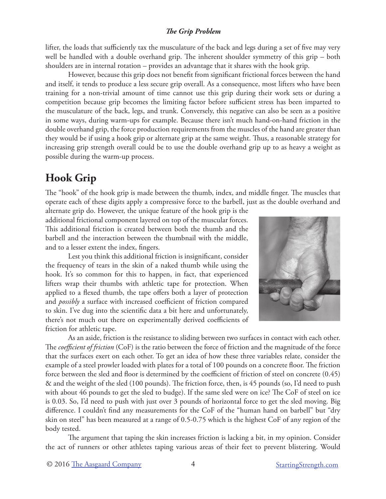lifter, the loads that sufficiently tax the musculature of the back and legs during a set of five may very well be handled with a double overhand grip. The inherent shoulder symmetry of this grip – both shoulders are in internal rotation – provides an advantage that it shares with the hook grip.

However, because this grip does not benefit from significant frictional forces between the hand and itself, it tends to produce a less secure grip overall. As a consequence, most lifters who have been training for a non-trivial amount of time cannot use this grip during their work sets or during a competition because grip becomes the limiting factor before sufficient stress has been imparted to the musculature of the back, legs, and trunk. Conversely, this negative can also be seen as a positive in some ways, during warm-ups for example. Because there isn't much hand-on-hand friction in the double overhand grip, the force production requirements from the muscles of the hand are greater than they would be if using a hook grip or alternate grip at the same weight. Thus, a reasonable strategy for increasing grip strength overall could be to use the double overhand grip up to as heavy a weight as possible during the warm-up process.

# **Hook Grip**

The "hook" of the hook grip is made between the thumb, index, and middle finger. The muscles that operate each of these digits apply a compressive force to the barbell, just as the double overhand and

alternate grip do. However, the unique feature of the hook grip is the additional frictional component layered on top of the muscular forces. This additional friction is created between both the thumb and the barbell and the interaction between the thumbnail with the middle, and to a lesser extent the index, fingers.

Lest you think this additional friction is insignificant, consider the frequency of tears in the skin of a naked thumb while using the hook. It's so common for this to happen, in fact, that experienced lifters wrap their thumbs with athletic tape for protection. When applied to a flexed thumb, the tape offers both a layer of protection and *possibly* a surface with increased coefficient of friction compared to skin. I've dug into the scientific data a bit here and unfortunately, there's not much out there on experimentally derived coefficients of friction for athletic tape.



As an aside, friction is the resistance to sliding between two surfaces in contact with each other. The *coefficient of friction* (CoF) is the ratio between the force of friction and the magnitude of the force that the surfaces exert on each other. To get an idea of how these three variables relate, consider the example of a steel prowler loaded with plates for a total of 100 pounds on a concrete floor. The friction force between the sled and floor is determined by the coefficient of friction of steel on concrete (0.45) & and the weight of the sled (100 pounds). The friction force, then, is 45 pounds (so, I'd need to push with about 46 pounds to get the sled to budge). If the same sled were on ice? The CoF of steel on ice is 0.03. So, I'd need to push with just over 3 pounds of horizontal force to get the sled moving. Big difference. I couldn't find any measurements for the CoF of the "human hand on barbell" but "dry skin on steel" has been measured at a range of 0.5-0.75 which is the highest CoF of any region of the body tested.

The argument that taping the skin increases friction is lacking a bit, in my opinion. Consider the act of runners or other athletes taping various areas of their feet to prevent blistering. Would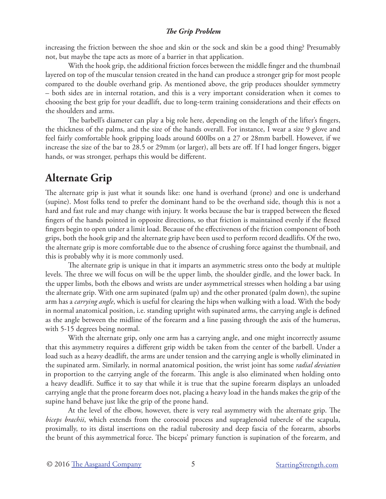increasing the friction between the shoe and skin or the sock and skin be a good thing? Presumably not, but maybe the tape acts as more of a barrier in that application.

With the hook grip, the additional friction forces between the middle finger and the thumbnail layered on top of the muscular tension created in the hand can produce a stronger grip for most people compared to the double overhand grip. As mentioned above, the grip produces shoulder symmetry – both sides are in internal rotation, and this is a very important consideration when it comes to choosing the best grip for your deadlift, due to long-term training considerations and their effects on the shoulders and arms.

The barbell's diameter can play a big role here, depending on the length of the lifter's fingers, the thickness of the palms, and the size of the hands overall. For instance, I wear a size 9 glove and feel fairly comfortable hook gripping loads around 600lbs on a 27 or 28mm barbell. However, if we increase the size of the bar to 28.5 or 29mm (or larger), all bets are off. If I had longer fingers, bigger hands, or was stronger, perhaps this would be different.

# **Alternate Grip**

The alternate grip is just what it sounds like: one hand is overhand (prone) and one is underhand (supine). Most folks tend to prefer the dominant hand to be the overhand side, though this is not a hard and fast rule and may change with injury. It works because the bar is trapped between the flexed fingers of the hands pointed in opposite directions, so that friction is maintained evenly if the flexed fingers begin to open under a limit load. Because of the effectiveness of the friction component of both grips, both the hook grip and the alternate grip have been used to perform record deadlifts. Of the two, the alternate grip is more comfortable due to the absence of crushing force against the thumbnail, and this is probably why it is more commonly used.

The alternate grip is unique in that it imparts an asymmetric stress onto the body at multiple levels. The three we will focus on will be the upper limb, the shoulder girdle, and the lower back. In the upper limbs, both the elbows and wrists are under asymmetrical stresses when holding a bar using the alternate grip. With one arm supinated (palm up) and the other pronated (palm down), the supine arm has a *carrying angle*, which is useful for clearing the hips when walking with a load. With the body in normal anatomical position, i.e. standing upright with supinated arms, the carrying angle is defined as the angle between the midline of the forearm and a line passing through the axis of the humerus, with 5-15 degrees being normal.

With the alternate grip, only one arm has a carrying angle, and one might incorrectly assume that this asymmetry requires a different grip width be taken from the center of the barbell. Under a load such as a heavy deadlift, the arms are under tension and the carrying angle is wholly eliminated in the supinated arm. Similarly, in normal anatomical position, the wrist joint has some *radial deviation* in proportion to the carrying angle of the forearm. This angle is also eliminated when holding onto a heavy deadlift. Suffice it to say that while it is true that the supine forearm displays an unloaded carrying angle that the prone forearm does not, placing a heavy load in the hands makes the grip of the supine hand behave just like the grip of the prone hand.

At the level of the elbow, however, there is very real asymmetry with the alternate grip. The *biceps brachii*, which extends from the corocoid process and supraglenoid tubercle of the scapula, proximally, to its distal insertions on the radial tuberosity and deep fascia of the forearm, absorbs the brunt of this asymmetrical force. The biceps' primary function is supination of the forearm, and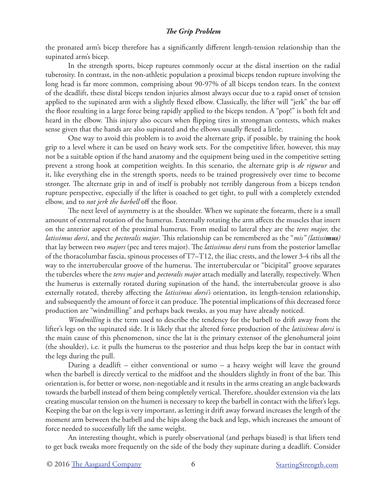the pronated arm's bicep therefore has a significantly different length-tension relationship than the supinated arm's bicep.

In the strength sports, bicep ruptures commonly occur at the distal insertion on the radial tuberosity. In contrast, in the non-athletic population a proximal biceps tendon rupture involving the long head is far more common, comprising about 90-97% of all biceps tendon tears. In the context of the deadlift, these distal biceps tendon injuries almost always occur due to a rapid onset of tension applied to the supinated arm with a slightly flexed elbow. Classically, the lifter will "jerk" the bar off the floor resulting in a large force being rapidly applied to the biceps tendon. A "pop!" is both felt and heard in the elbow. This injury also occurs when flipping tires in strongman contests, which makes sense given that the hands are also supinated and the elbows usually flexed a little.

One way to avoid this problem is to avoid the alternate grip, if possible, by training the hook grip to a level where it can be used on heavy work sets. For the competitive lifter, however, this may not be a suitable option if the hand anatomy and the equipment being used in the competitive setting prevent a strong hook at competition weights. In this scenario, the alternate grip is *de rigueur* and it, like everything else in the strength sports, needs to be trained progressively over time to become stronger. The alternate grip in and of itself is probably not terribly dangerous from a biceps tendon rupture perspective, especially if the lifter is coached to get tight, to pull with a completely extended elbow, and to *not jerk the barbell* off the floor.

The next level of asymmetry is at the shoulder. When we supinate the forearm, there is a small amount of external rotation of the humerus. Externally rotating the arm affects the muscles that insert on the anterior aspect of the proximal humerus. From medial to lateral they are the *teres major,* the *latissimus dorsi*, and the *pectoralis major*. This relationship can be remembered as the "*mis" (latissimus)*  that lay between two *majors* (pec and teres major). The *latissimus dorsi* runs from the posterior lamellae of the thoracolumbar fascia, spinous processes of T7–T12, the iliac crests, and the lower 3-4 ribs all the way to the intertubercular groove of the humerus. The intertubercular or "bicipital" groove separates the tubercles where the *teres major* and *pectoralis major* attach medially and laterally, respectively. When the humerus is externally rotated during supination of the hand, the intertubercular groove is also externally rotated, thereby affecting the *latissimus dorsi's* orientation, its length-tension relationship, and subsequently the amount of force it can produce. The potential implications of this decreased force production are "windmilling" and perhaps back tweaks, as you may have already noticed.

*Windmilling* is the term used to describe the tendency for the barbell to drift away from the lifter's legs on the supinated side. It is likely that the altered force production of the *latissimus dorsi* is the main cause of this phenomenon, since the lat is the primary extensor of the glenohumeral joint (the shoulder), i.e. it pulls the humerus to the posterior and thus helps keep the bar in contact with the legs during the pull.

During a deadlift – either conventional or sumo – a heavy weight will leave the ground when the barbell is directly vertical to the midfoot and the shoulders slightly in front of the bar. This orientation is, for better or worse, non-negotiable and it results in the arms creating an angle backwards towards the barbell instead of them being completely vertical. Therefore, shoulder extension via the lats creating muscular tension on the humeri is necessary to keep the barbell in contact with the lifter's legs. Keeping the bar on the legs is very important, as letting it drift away forward increases the length of the moment arm between the barbell and the hips along the back and legs, which increases the amount of force needed to successfully lift the same weight.

An interesting thought, which is purely observational (and perhaps biased) is that lifters tend to get back tweaks more frequently on the side of the body they supinate during a deadlift. Consider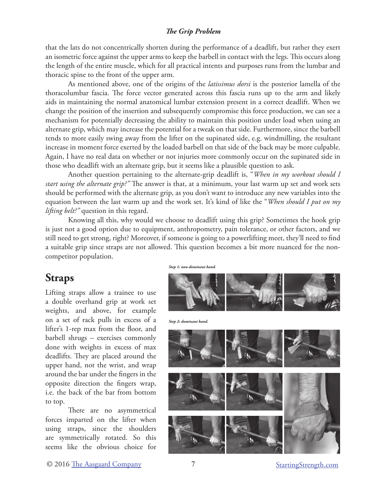that the lats do not concentrically shorten during the performance of a deadlift, but rather they exert an isometric force against the upper arms to keep the barbell in contact with the legs. This occurs along the length of the entire muscle, which for all practical intents and purposes runs from the lumbar and thoracic spine to the front of the upper arm.

As mentioned above, one of the origins of the *latissimus dorsi* is the posterior lamella of the thoracolumbar fascia. The force vector generated across this fascia runs up to the arm and likely aids in maintaining the normal anatomical lumbar extension present in a correct deadlift. When we change the position of the insertion and subsequently compromise this force production, we can see a mechanism for potentially decreasing the ability to maintain this position under load when using an alternate grip, which may increase the potential for a tweak on that side. Furthermore, since the barbell tends to more easily swing away from the lifter on the supinated side, e.g. windmilling, the resultant increase in moment force exerted by the loaded barbell on that side of the back may be more culpable. Again, I have no real data on whether or not injuries more commonly occur on the supinated side in those who deadlift with an alternate grip, but it seems like a plausible question to ask.

Another question pertaining to the alternate-grip deadlift is, "*When in my workout should I start using the alternate grip?"* The answer is that, at a minimum, your last warm up set and work sets should be performed with the alternate grip, as you don't want to introduce any new variables into the equation between the last warm up and the work set. It's kind of like the "*When should I put on my lifting belt?"* question in this regard.

Knowing all this, why would we choose to deadlift using this grip? Sometimes the hook grip is just not a good option due to equipment, anthropometry, pain tolerance, or other factors, and we still need to get strong, right? Moreover, if someone is going to a powerlifting meet, they'll need to find a suitable grip since straps are not allowed. This question becomes a bit more nuanced for the noncompetitor population.

## **Straps**

Lifting straps allow a trainee to use a double overhand grip at work set weights, and above, for example on a set of rack pulls in excess of a lifter's 1-rep max from the floor, and barbell shrugs – exercises commonly done with weights in excess of max deadlifts. They are placed around the upper hand, not the wrist, and wrap around the bar under the fingers in the opposite direction the fingers wrap, i.e. the back of the bar from bottom to top.

There are no asymmetrical forces imparted on the lifter when using straps, since the shoulders are symmetrically rotated. So this seems like the obvious choice for

*Step 1: non-dominant hand.*



*Step 2: dominant hand.*



**Starting Strength.com**